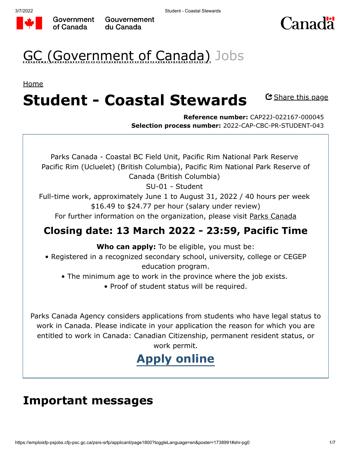



# GC (Government of Canada) Jobs

[Home](https://www.canada.ca/en/services/jobs/opportunities/government.html)

#### C Share this page **Student - Coastal Stewards**

**Reference number:** CAP22J-022167-000045 **Selection process number:** 2022-CAP-CBC-PR-STUDENT-043

Parks Canada - Coastal BC Field Unit, Pacific Rim National Park Reserve Pacific Rim (Ucluelet) (British Columbia), Pacific Rim National Park Reserve of Canada (British Columbia) SU-01 - Student

Full-time work, approximately June 1 to August 31, 2022 / 40 hours per week \$16.49 to \$24.77 per hour (salary under review)

For further information on the organization, please visit [Parks Canada](https://www.pc.gc.ca/en/pn-np/bc/pacificrim)

### **Closing date: 13 March 2022 - 23:59, Pacific Time**

**Who can apply:** To be eligible, you must be:

• Registered in a recognized secondary school, university, college or CEGEP education program.

- The minimum age to work in the province where the job exists.
	- Proof of student status will be required.

Parks Canada Agency considers applications from students who have legal status to work in Canada. Please indicate in your application the reason for which you are entitled to work in Canada: Canadian Citizenship, permanent resident status, or work permit.

# **[Apply online](https://emploisfp-psjobs.cfp-psc.gc.ca/psrs-srfp/applicant/page1710?careerChoiceId=1738991&psrsMode=1)**

### **Important messages**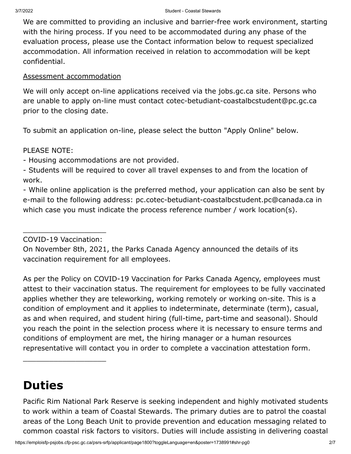We are committed to providing an inclusive and barrier-free work environment, starting with the hiring process. If you need to be accommodated during any phase of the evaluation process, please use the Contact information below to request specialized accommodation. All information received in relation to accommodation will be kept confidential.

#### [Assessment accommodation](https://www.canada.ca/en/public-service-commission/services/assessment-accommodation-page/how-to-request-assessment-accommodation.html)

We will only accept on-line applications received via the jobs.gc.ca site. Persons who are unable to apply on-line must contact cotec-betudiant-coastalbcstudent@pc.gc.ca prior to the closing date.

To submit an application on-line, please select the button "Apply Online" below.

#### PLEASE NOTE:

- Housing accommodations are not provided.

- Students will be required to cover all travel expenses to and from the location of work.

- While online application is the preferred method, your application can also be sent by e-mail to the following address: pc.cotec-betudiant-coastalbcstudent.pc@canada.ca in which case you must indicate the process reference number / work location(s).

\_\_\_\_\_\_\_\_\_\_\_\_\_\_\_\_\_\_\_ COVID-19 Vaccination:

\_\_\_\_\_\_\_\_\_\_\_\_\_\_\_\_\_\_\_

On November 8th, 2021, the Parks Canada Agency announced the details of its vaccination requirement for all employees.

As per the Policy on COVID-19 Vaccination for Parks Canada Agency, employees must attest to their vaccination status. The requirement for employees to be fully vaccinated applies whether they are teleworking, working remotely or working on-site. This is a condition of employment and it applies to indeterminate, determinate (term), casual, as and when required, and student hiring (full-time, part-time and seasonal). Should you reach the point in the selection process where it is necessary to ensure terms and conditions of employment are met, the hiring manager or a human resources representative will contact you in order to complete a vaccination attestation form.

## **Duties**

Pacific Rim National Park Reserve is seeking independent and highly motivated students to work within a team of Coastal Stewards. The primary duties are to patrol the coastal areas of the Long Beach Unit to provide prevention and education messaging related to common coastal risk factors to visitors. Duties will include assisting in delivering coastal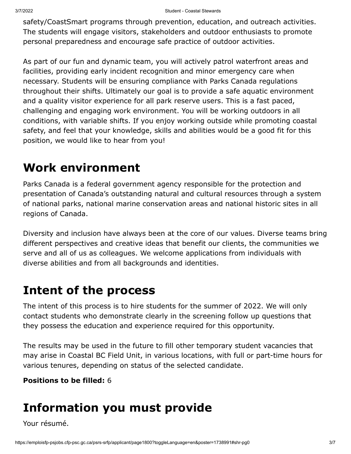safety/CoastSmart programs through prevention, education, and outreach activities. The students will engage visitors, stakeholders and outdoor enthusiasts to promote personal preparedness and encourage safe practice of outdoor activities.

As part of our fun and dynamic team, you will actively patrol waterfront areas and facilities, providing early incident recognition and minor emergency care when necessary. Students will be ensuring compliance with Parks Canada regulations throughout their shifts. Ultimately our goal is to provide a safe aquatic environment and a quality visitor experience for all park reserve users. This is a fast paced, challenging and engaging work environment. You will be working outdoors in all conditions, with variable shifts. If you enjoy working outside while promoting coastal safety, and feel that your knowledge, skills and abilities would be a good fit for this position, we would like to hear from you!

### **Work environment**

Parks Canada is a federal government agency responsible for the protection and presentation of Canada's outstanding natural and cultural resources through a system of national parks, national marine conservation areas and national historic sites in all regions of Canada.

Diversity and inclusion have always been at the core of our values. Diverse teams bring different perspectives and creative ideas that benefit our clients, the communities we serve and all of us as colleagues. We welcome applications from individuals with diverse abilities and from all backgrounds and identities.

### **Intent of the process**

The intent of this process is to hire students for the summer of 2022. We will only contact students who demonstrate clearly in the screening follow up questions that they possess the education and experience required for this opportunity.

The results may be used in the future to fill other temporary student vacancies that may arise in Coastal BC Field Unit, in various locations, with full or part-time hours for various tenures, depending on status of the selected candidate.

#### **Positions to be filled:** 6

## **Information you must provide**

Your résumé.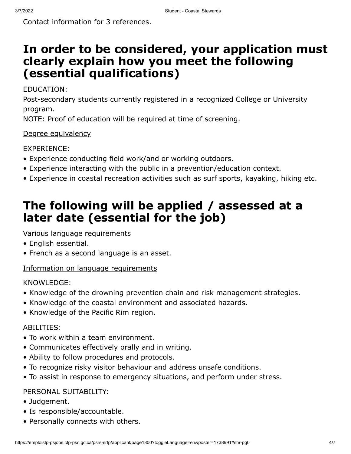Contact information for 3 references.

### **In order to be considered, your application must clearly explain how you meet the following (essential qualifications)**

#### EDUCATION:

Post-secondary students currently registered in a recognized College or University program.

NOTE: Proof of education will be required at time of screening.

#### [Degree equivalency](https://www.canada.ca/en/public-service-commission/jobs/services/gc-jobs/degree-equivalency.html)

EXPERIENCE:

- Experience conducting field work/and or working outdoors.
- Experience interacting with the public in a prevention/education context.
- Experience in coastal recreation activities such as surf sports, kayaking, hiking etc.

## **The following will be applied / assessed at a later date (essential for the job)**

Various language requirements

- English essential.
- French as a second language is an asset.

### [Information on language requirements](https://www.canada.ca/en/public-service-commission/jobs/services/gc-jobs/language-requirements-candidates.html)

KNOWLEDGE:

- Knowledge of the drowning prevention chain and risk management strategies.
- Knowledge of the coastal environment and associated hazards.
- Knowledge of the Pacific Rim region.

### ABILITIES:

- To work within a team environment.
- Communicates effectively orally and in writing.
- Ability to follow procedures and protocols.
- To recognize risky visitor behaviour and address unsafe conditions.
- To assist in response to emergency situations, and perform under stress.

### PERSONAL SUITABILITY:

- Judgement.
- Is responsible/accountable.
- Personally connects with others.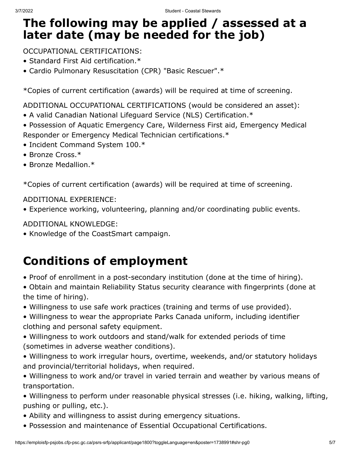### **The following may be applied / assessed at a later date (may be needed for the job)**

OCCUPATIONAL CERTIFICATIONS:

- Standard First Aid certification.\*
- Cardio Pulmonary Resuscitation (CPR) "Basic Rescuer".\*

\*Copies of current certification (awards) will be required at time of screening.

ADDITIONAL OCCUPATIONAL CERTIFICATIONS (would be considered an asset):

- A valid Canadian National Lifeguard Service (NLS) Certification.\*
- Possession of Aquatic Emergency Care, Wilderness First aid, Emergency Medical Responder or Emergency Medical Technician certifications.\*
- Incident Command System 100.\*
- Bronze Cross.\*
- Bronze Medallion.\*

\*Copies of current certification (awards) will be required at time of screening.

#### ADDITIONAL EXPERIENCE:

• Experience working, volunteering, planning and/or coordinating public events.

ADDITIONAL KNOWLEDGE:

• Knowledge of the CoastSmart campaign.

## **Conditions of employment**

- Proof of enrollment in a post-secondary institution (done at the time of hiring).
- Obtain and maintain Reliability Status security clearance with fingerprints (done at the time of hiring).
- Willingness to use safe work practices (training and terms of use provided).
- Willingness to wear the appropriate Parks Canada uniform, including identifier clothing and personal safety equipment.
- Willingness to work outdoors and stand/walk for extended periods of time (sometimes in adverse weather conditions).
- Willingness to work irregular hours, overtime, weekends, and/or statutory holidays and provincial/territorial holidays, when required.
- Willingness to work and/or travel in varied terrain and weather by various means of transportation.
- Willingness to perform under reasonable physical stresses (i.e. hiking, walking, lifting, pushing or pulling, etc.).
- Ability and willingness to assist during emergency situations.
- Possession and maintenance of Essential Occupational Certifications.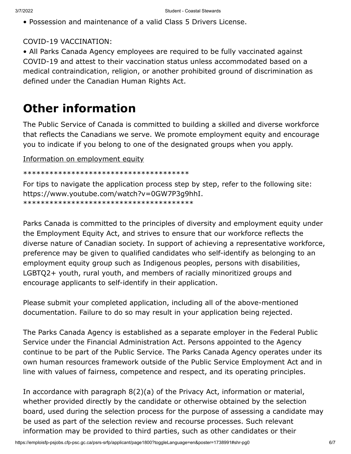• Possession and maintenance of a valid Class 5 Drivers License.

#### COVID-19 VACCINATION:

• All Parks Canada Agency employees are required to be fully vaccinated against COVID-19 and attest to their vaccination status unless accommodated based on a medical contraindication, religion, or another prohibited ground of discrimination as defined under the Canadian Human Rights Act.

### **Other information**

The Public Service of Canada is committed to building a skilled and diverse workforce that reflects the Canadians we serve. We promote employment equity and encourage you to indicate if you belong to one of the designated groups when you apply.

[Information on employment equity](https://www.canada.ca/en/public-service-commission/jobs/services/gc-jobs/employment-equity.html)

\*\*\*\*\*\*\*\*\*\*\*\*\*\*\*\*\*\*\*\*\*\*\*\*\*\*\*\*\*\*\*\*\*\*\*\*\*\*

For tips to navigate the application process step by step, refer to the following site: https://www.youtube.com/watch?v=0GW7P3g9hhI. \*\*\*\*\*\*\*\*\*\*\*\*\*\*\*\*\*\*\*\*\*\*\*\*\*\*\*\*\*\*\*\*\*\*\*\*\*\*\*

Parks Canada is committed to the principles of diversity and employment equity under the Employment Equity Act, and strives to ensure that our workforce reflects the diverse nature of Canadian society. In support of achieving a representative workforce, preference may be given to qualified candidates who self-identify as belonging to an employment equity group such as Indigenous peoples, persons with disabilities, LGBTQ2+ youth, rural youth, and members of racially minoritized groups and encourage applicants to self-identify in their application.

Please submit your completed application, including all of the above-mentioned documentation. Failure to do so may result in your application being rejected.

The Parks Canada Agency is established as a separate employer in the Federal Public Service under the Financial Administration Act. Persons appointed to the Agency continue to be part of the Public Service. The Parks Canada Agency operates under its own human resources framework outside of the Public Service Employment Act and in line with values of fairness, competence and respect, and its operating principles.

In accordance with paragraph 8(2)(a) of the Privacy Act, information or material, whether provided directly by the candidate or otherwise obtained by the selection board, used during the selection process for the purpose of assessing a candidate may be used as part of the selection review and recourse processes. Such relevant information may be provided to third parties, such as other candidates or their